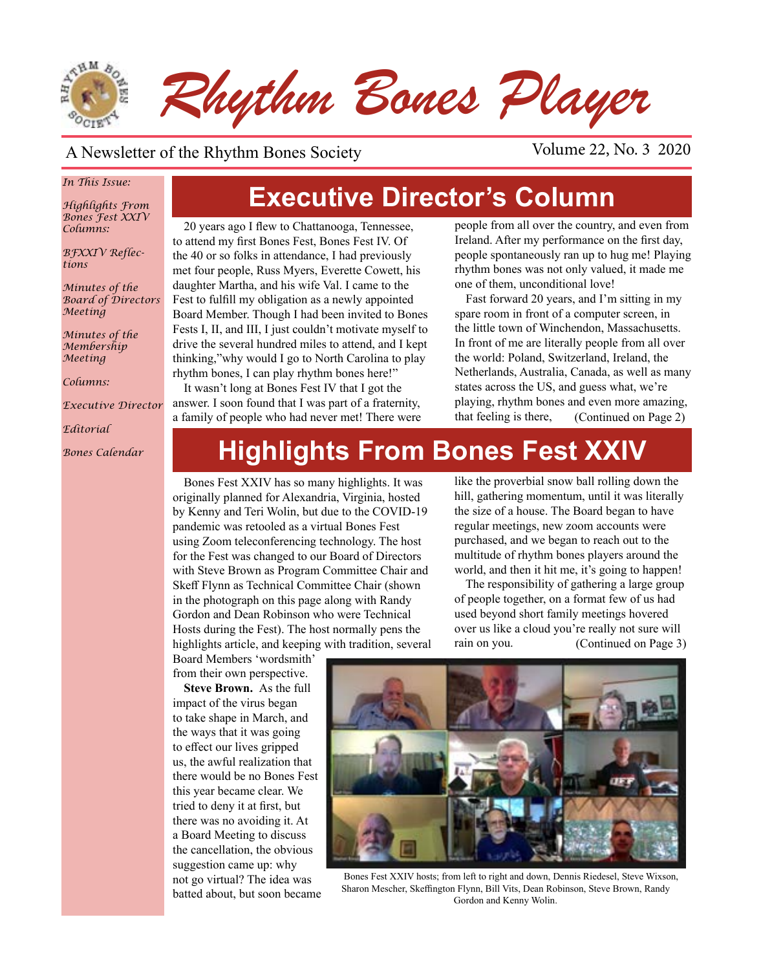

A Newsletter of the Rhythm Bones Society Volume 22, No. 3 2020

### *In This Issue:*

*Highlights From Bones Fest XXIV Columns:* 

*BFXXIV Reflections*

*Minutes of the Board of Directors Meeting*

*Minutes of the Membership Meeting*

*Columns:*

*Executive Director*

*Editorial*

*Bones Calendar*

# **Executive Director's Column**

20 years ago I flew to Chattanooga, Tennessee, to attend my first Bones Fest, Bones Fest IV. Of the 40 or so folks in attendance, I had previously met four people, Russ Myers, Everette Cowett, his daughter Martha, and his wife Val. I came to the Fest to fulfill my obligation as a newly appointed Board Member. Though I had been invited to Bones Fests I, II, and III, I just couldn't motivate myself to drive the several hundred miles to attend, and I kept thinking,"why would I go to North Carolina to play rhythm bones, I can play rhythm bones here!"

It wasn't long at Bones Fest IV that I got the answer. I soon found that I was part of a fraternity, a family of people who had never met! There were

people from all over the country, and even from Ireland. After my performance on the first day, people spontaneously ran up to hug me! Playing rhythm bones was not only valued, it made me one of them, unconditional love!

Fast forward 20 years, and I'm sitting in my spare room in front of a computer screen, in the little town of Winchendon, Massachusetts. In front of me are literally people from all over the world: Poland, Switzerland, Ireland, the Netherlands, Australia, Canada, as well as many states across the US, and guess what, we're playing, rhythm bones and even more amazing, that feeling is there, (Continued on Page 2)

# **Highlights From Bones Fest XXIV**

Bones Fest XXIV has so many highlights. It was originally planned for Alexandria, Virginia, hosted by Kenny and Teri Wolin, but due to the COVID-19 pandemic was retooled as a virtual Bones Fest using Zoom teleconferencing technology. The host for the Fest was changed to our Board of Directors with Steve Brown as Program Committee Chair and Skeff Flynn as Technical Committee Chair (shown in the photograph on this page along with Randy Gordon and Dean Robinson who were Technical Hosts during the Fest). The host normally pens the highlights article, and keeping with tradition, several

Board Members 'wordsmith'

**Steve Brown.** As the full impact of the virus began to take shape in March, and the ways that it was going to effect our lives gripped us, the awful realization that there would be no Bones Fest this year became clear. We tried to deny it at first, but there was no avoiding it. At a Board Meeting to discuss the cancellation, the obvious suggestion came up: why not go virtual? The idea was batted about, but soon became

like the proverbial snow ball rolling down the hill, gathering momentum, until it was literally the size of a house. The Board began to have regular meetings, new zoom accounts were purchased, and we began to reach out to the multitude of rhythm bones players around the world, and then it hit me, it's going to happen!

The responsibility of gathering a large group of people together, on a format few of us had used beyond short family meetings hovered over us like a cloud you're really not sure will rain on you. (Continued on Page 3)





Bones Fest XXIV hosts; from left to right and down, Dennis Riedesel, Steve Wixson, Sharon Mescher, Skeffington Flynn, Bill Vits, Dean Robinson, Steve Brown, Randy Gordon and Kenny Wolin.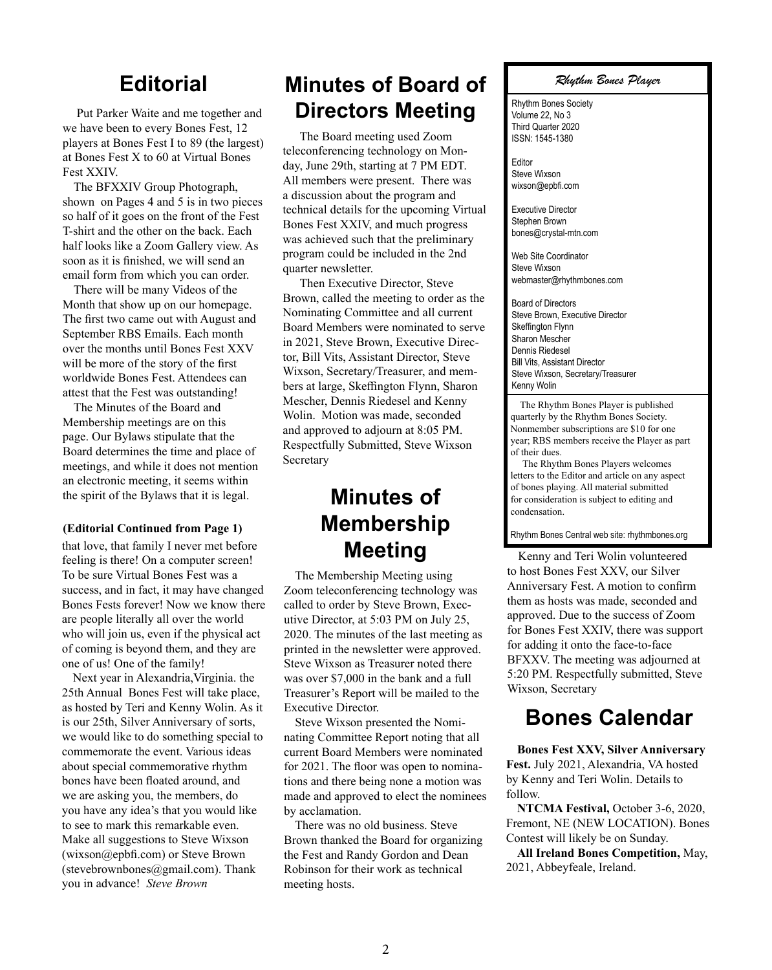### **Editorial**

 Put Parker Waite and me together and we have been to every Bones Fest, 12 players at Bones Fest I to 89 (the largest) at Bones Fest X to 60 at Virtual Bones Fest XXIV.

The BFXXIV Group Photograph, shown on Pages 4 and 5 is in two pieces so half of it goes on the front of the Fest T-shirt and the other on the back. Each half looks like a Zoom Gallery view. As soon as it is finished, we will send an email form from which you can order.

There will be many Videos of the Month that show up on our homepage. The first two came out with August and September RBS Emails. Each month over the months until Bones Fest XXV will be more of the story of the first worldwide Bones Fest. Attendees can attest that the Fest was outstanding!

The Minutes of the Board and Membership meetings are on this page. Our Bylaws stipulate that the Board determines the time and place of meetings, and while it does not mention an electronic meeting, it seems within the spirit of the Bylaws that it is legal.

### **(Editorial Continued from Page 1)**

that love, that family I never met before feeling is there! On a computer screen! To be sure Virtual Bones Fest was a success, and in fact, it may have changed Bones Fests forever! Now we know there are people literally all over the world who will join us, even if the physical act of coming is beyond them, and they are one of us! One of the family!

Next year in Alexandria,Virginia. the 25th Annual Bones Fest will take place, as hosted by Teri and Kenny Wolin. As it is our 25th, Silver Anniversary of sorts, we would like to do something special to commemorate the event. Various ideas about special commemorative rhythm bones have been floated around, and we are asking you, the members, do you have any idea's that you would like to see to mark this remarkable even. Make all suggestions to Steve Wixson (wixson@epbfi.com) or Steve Brown (stevebrownbones@gmail.com). Thank you in advance! *Steve Brown*

### **Minutes of Board of Directors Meeting**

 The Board meeting used Zoom teleconferencing technology on Monday, June 29th, starting at 7 PM EDT. All members were present. There was a discussion about the program and technical details for the upcoming Virtual Bones Fest XXIV, and much progress was achieved such that the preliminary program could be included in the 2nd quarter newsletter.

 Then Executive Director, Steve Brown, called the meeting to order as the Nominating Committee and all current Board Members were nominated to serve in 2021, Steve Brown, Executive Director, Bill Vits, Assistant Director, Steve Wixson, Secretary/Treasurer, and members at large, Skeffington Flynn, Sharon Mescher, Dennis Riedesel and Kenny Wolin. Motion was made, seconded and approved to adjourn at 8:05 PM. Respectfully Submitted, Steve Wixson Secretary

## **Minutes of Membership Meeting** Kenny and Teri Wolin volunteered

The Membership Meeting using Zoom teleconferencing technology was called to order by Steve Brown, Executive Director, at 5:03 PM on July 25, 2020. The minutes of the last meeting as printed in the newsletter were approved. Steve Wixson as Treasurer noted there was over \$7,000 in the bank and a full Treasurer's Report will be mailed to the Executive Director.

Steve Wixson presented the Nominating Committee Report noting that all current Board Members were nominated for 2021. The floor was open to nominations and there being none a motion was made and approved to elect the nominees by acclamation.

There was no old business. Steve Brown thanked the Board for organizing the Fest and Randy Gordon and Dean Robinson for their work as technical meeting hosts.

### *Rhythm Bones Player*

Rhythm Bones Society Volume 22, No 3 Third Quarter 2020 ISSN: 1545-1380

Editor Steve Wixson wixson@epbfi.com

Executive Director Stephen Brown bones@crystal-mtn.com

Web Site Coordinator Steve Wixson webmaster@rhythmbones.com

Board of Directors Steve Brown, Executive Director Skeffington Flynn Sharon Mescher Dennis Riedesel Bill Vits, Assistant Director Steve Wixson, Secretary/Treasurer Kenny Wolin

 The Rhythm Bones Player is published quarterly by the Rhythm Bones Society. Nonmember subscriptions are \$10 for one year; RBS members receive the Player as part of their dues.

 The Rhythm Bones Players welcomes letters to the Editor and article on any aspect of bones playing. All material submitted for consideration is subject to editing and condensation.

Rhythm Bones Central web site: rhythmbones.org

to host Bones Fest XXV, our Silver Anniversary Fest. A motion to confirm them as hosts was made, seconded and approved. Due to the success of Zoom for Bones Fest XXIV, there was support for adding it onto the face-to-face BFXXV. The meeting was adjourned at 5:20 PM. Respectfully submitted, Steve Wixson, Secretary

### **Bones Calendar**

**Bones Fest XXV, Silver Anniversary Fest.** July 2021, Alexandria, VA hosted by Kenny and Teri Wolin. Details to follow.

**NTCMA Festival,** October 3-6, 2020, Fremont, NE (NEW LOCATION). Bones Contest will likely be on Sunday.

**All Ireland Bones Competition,** May, 2021, Abbeyfeale, Ireland.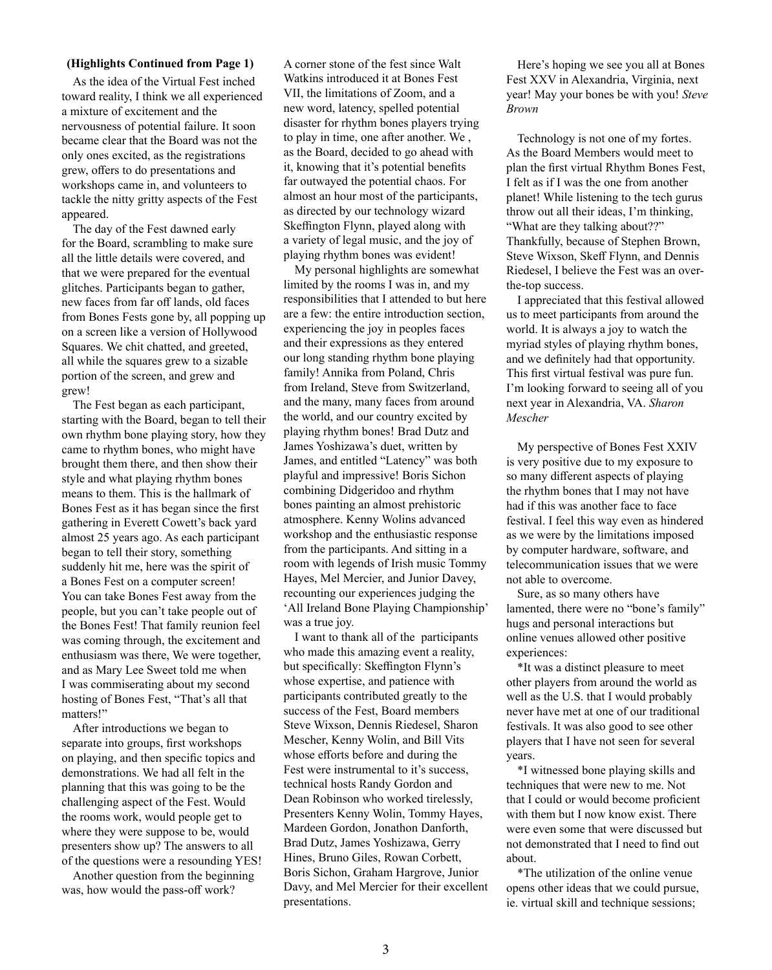As the idea of the Virtual Fest inched toward reality, I think we all experienced a mixture of excitement and the nervousness of potential failure. It soon became clear that the Board was not the only ones excited, as the registrations grew, offers to do presentations and workshops came in, and volunteers to tackle the nitty gritty aspects of the Fest appeared.

The day of the Fest dawned early for the Board, scrambling to make sure all the little details were covered, and that we were prepared for the eventual glitches. Participants began to gather, new faces from far off lands, old faces from Bones Fests gone by, all popping up on a screen like a version of Hollywood Squares. We chit chatted, and greeted, all while the squares grew to a sizable portion of the screen, and grew and grew!

The Fest began as each participant, starting with the Board, began to tell their own rhythm bone playing story, how they came to rhythm bones, who might have brought them there, and then show their style and what playing rhythm bones means to them. This is the hallmark of Bones Fest as it has began since the first gathering in Everett Cowett's back yard almost 25 years ago. As each participant began to tell their story, something suddenly hit me, here was the spirit of a Bones Fest on a computer screen! You can take Bones Fest away from the people, but you can't take people out of the Bones Fest! That family reunion feel was coming through, the excitement and enthusiasm was there, We were together, and as Mary Lee Sweet told me when I was commiserating about my second hosting of Bones Fest, "That's all that matters!"

After introductions we began to separate into groups, first workshops on playing, and then specific topics and demonstrations. We had all felt in the planning that this was going to be the challenging aspect of the Fest. Would the rooms work, would people get to where they were suppose to be, would presenters show up? The answers to all of the questions were a resounding YES!

Another question from the beginning was, how would the pass-off work?

**(Highlights Continued from Page 1)** A corner stone of the fest since Walt Here's hoping we see you all at Bones A corner stone of the fest since Walt Watkins introduced it at Bones Fest VII, the limitations of Zoom, and a new word, latency, spelled potential disaster for rhythm bones players trying to play in time, one after another. We , as the Board, decided to go ahead with it, knowing that it's potential benefits far outwayed the potential chaos. For almost an hour most of the participants, as directed by our technology wizard Skeffington Flynn, played along with a variety of legal music, and the joy of playing rhythm bones was evident!

> My personal highlights are somewhat limited by the rooms I was in, and my responsibilities that I attended to but here are a few: the entire introduction section, experiencing the joy in peoples faces and their expressions as they entered our long standing rhythm bone playing family! Annika from Poland, Chris from Ireland, Steve from Switzerland, and the many, many faces from around the world, and our country excited by playing rhythm bones! Brad Dutz and James Yoshizawa's duet, written by James, and entitled "Latency" was both playful and impressive! Boris Sichon combining Didgeridoo and rhythm bones painting an almost prehistoric atmosphere. Kenny Wolins advanced workshop and the enthusiastic response from the participants. And sitting in a room with legends of Irish music Tommy Hayes, Mel Mercier, and Junior Davey, recounting our experiences judging the 'All Ireland Bone Playing Championship' was a true joy.

> I want to thank all of the participants who made this amazing event a reality, but specifically: Skeffington Flynn's whose expertise, and patience with participants contributed greatly to the success of the Fest, Board members Steve Wixson, Dennis Riedesel, Sharon Mescher, Kenny Wolin, and Bill Vits whose efforts before and during the Fest were instrumental to it's success, technical hosts Randy Gordon and Dean Robinson who worked tirelessly, Presenters Kenny Wolin, Tommy Hayes, Mardeen Gordon, Jonathon Danforth, Brad Dutz, James Yoshizawa, Gerry Hines, Bruno Giles, Rowan Corbett, Boris Sichon, Graham Hargrove, Junior Davy, and Mel Mercier for their excellent presentations.

Fest XXV in Alexandria, Virginia, next year! May your bones be with you! *Steve Brown*

Technology is not one of my fortes. As the Board Members would meet to plan the first virtual Rhythm Bones Fest, I felt as if I was the one from another planet! While listening to the tech gurus throw out all their ideas, I'm thinking, "What are they talking about??" Thankfully, because of Stephen Brown, Steve Wixson, Skeff Flynn, and Dennis Riedesel, I believe the Fest was an overthe-top success.

I appreciated that this festival allowed us to meet participants from around the world. It is always a joy to watch the myriad styles of playing rhythm bones, and we definitely had that opportunity. This first virtual festival was pure fun. I'm looking forward to seeing all of you next year in Alexandria, VA. *Sharon Mescher*

My perspective of Bones Fest XXIV is very positive due to my exposure to so many different aspects of playing the rhythm bones that I may not have had if this was another face to face festival. I feel this way even as hindered as we were by the limitations imposed by computer hardware, software, and telecommunication issues that we were not able to overcome.

Sure, as so many others have lamented, there were no "bone's family" hugs and personal interactions but online venues allowed other positive experiences:

\*It was a distinct pleasure to meet other players from around the world as well as the U.S. that I would probably never have met at one of our traditional festivals. It was also good to see other players that I have not seen for several years.

\*I witnessed bone playing skills and techniques that were new to me. Not that I could or would become proficient with them but I now know exist. There were even some that were discussed but not demonstrated that I need to find out about.

\*The utilization of the online venue opens other ideas that we could pursue, ie. virtual skill and technique sessions;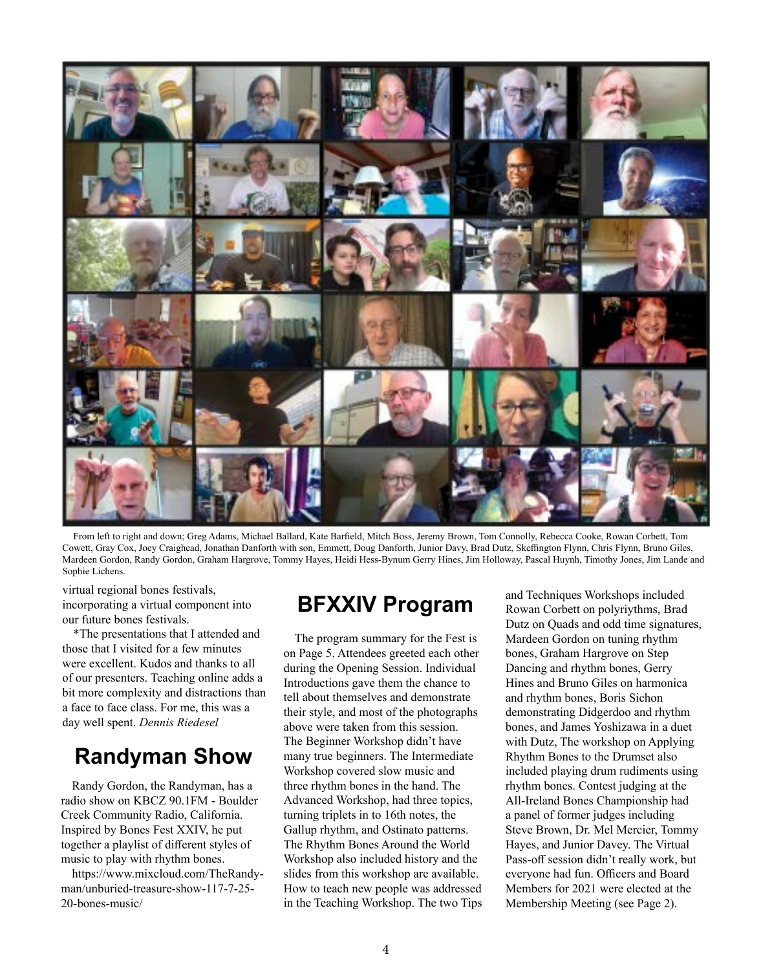

From left to right and down; Greg Adams, Michael Ballard, Kate Barfield, Mitch Boss, Jeremy Brown, Tom Connolly, Rebecca Cooke, Rowan Corbett, Tom Cowett, Gray Cox, Joey Craighead, Jonathan Danforth with son, Emmett, Doug Danforth, Junior Davy, Brad Dutz, Skeffington Flynn, Chris Flynn, Bruno Giles, Mardeen Gordon, Randy Gordon, Graham Hargrove, Tommy Hayes, Heidi Hess-Bynum Gerry Hines, Jim Holloway, Pascal Huynh, Timothy Jones, Jim Lande and Sophie Lichens.

virtual regional bones festivals, incorporating a virtual component into our future bones festivals.

\*The presentations that I attended and those that I visited for a few minutes were excellent. Kudos and thanks to all of our presenters. Teaching online adds a bit more complexity and distractions than a face to face class. For me, this was a day well spent. *Dennis Riedesel*

### **Randyman Show**

Randy Gordon, the Randyman, has a radio show on KBCZ 90.1FM - Boulder Creek Community Radio, California. Inspired by Bones Fest XXIV, he put together a playlist of different styles of music to play with rhythm bones.

https://www.mixcloud.com/TheRandyman/unburied-treasure-show-117-7-25- 20-bones-music/

The program summary for the Fest is on Page 5. Attendees greeted each other during the Opening Session. Individual Introductions gave them the chance to tell about themselves and demonstrate their style, and most of the photographs above were taken from this session. The Beginner Workshop didn't have many true beginners. The Intermediate Workshop covered slow music and three rhythm bones in the hand. The Advanced Workshop, had three topics, turning triplets in to 16th notes, the Gallup rhythm, and Ostinato patterns. The Rhythm Bones Around the World Workshop also included history and the slides from this workshop are available. How to teach new people was addressed in the Teaching Workshop. The two Tips

**BFXXIV Program** and Techniques Workshops included Rowan Corbett on polyriythms, Brad Rowan Corbett on polyriythms, Brad Dutz on Quads and odd time signatures, Mardeen Gordon on tuning rhythm bones, Graham Hargrove on Step Dancing and rhythm bones, Gerry Hines and Bruno Giles on harmonica and rhythm bones, Boris Sichon demonstrating Didgerdoo and rhythm bones, and James Yoshizawa in a duet with Dutz, The workshop on Applying Rhythm Bones to the Drumset also included playing drum rudiments using rhythm bones. Contest judging at the All-Ireland Bones Championship had a panel of former judges including Steve Brown, Dr. Mel Mercier, Tommy Hayes, and Junior Davey. The Virtual Pass-off session didn't really work, but everyone had fun. Officers and Board Members for 2021 were elected at the Membership Meeting (see Page 2).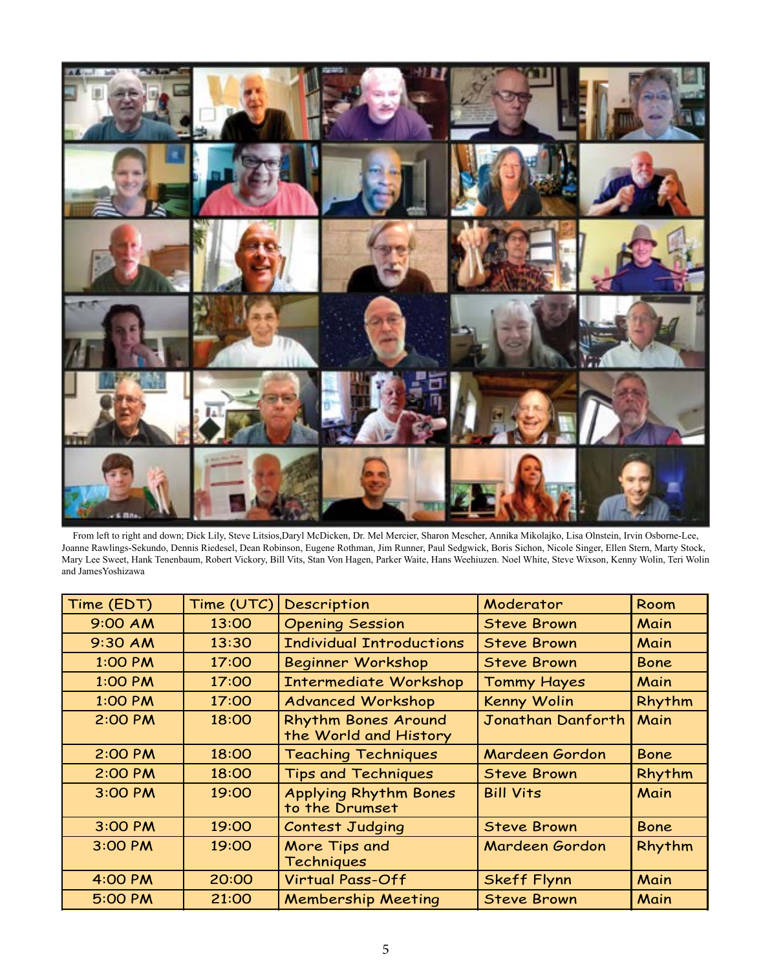

From left to right and down; Dick Lily, Steve Litsios,Daryl McDicken, Dr. Mel Mercier, Sharon Mescher, Annika Mikolajko, Lisa Olnstein, Irvin Osborne-Lee, Joanne Rawlings-Sekundo, Dennis Riedesel, Dean Robinson, Eugene Rothman, Jim Runner, Paul Sedgwick, Boris Sichon, Nicole Singer, Ellen Stern, Marty Stock, Mary Lee Sweet, Hank Tenenbaum, Robert Vickory, Bill Vits, Stan Von Hagen, Parker Waite, Hans Weehiuzen. Noel White, Steve Wixson, Kenny Wolin, Teri Wolin and JamesYoshizawa

| Time (EDT) | Time (UTC) | Description                                         | Moderator             | Room        |
|------------|------------|-----------------------------------------------------|-----------------------|-------------|
| 9:00 AM    | 13:00      | <b>Opening Session</b>                              | <b>Steve Brown</b>    | Main        |
| 9:30 AM    | 13:30      | <b>Individual Introductions</b>                     | <b>Steve Brown</b>    | Main        |
| 1:00 PM    | 17:00      | <b>Beginner Workshop</b>                            | <b>Steve Brown</b>    | <b>Bone</b> |
| 1:00 PM    | 17:00      | <b>Intermediate Workshop</b>                        | <b>Tommy Hayes</b>    | Main        |
| 1:00 PM    | 17:00      | <b>Advanced Workshop</b>                            | <b>Kenny Wolin</b>    | Rhythm      |
| 2:00 PM    | 18:00      | <b>Rhythm Bones Around</b><br>the World and History | Jonathan Danforth     | Main        |
| 2:00 PM    | 18:00      | <b>Teaching Techniques</b>                          | Mardeen Gordon        | <b>Bone</b> |
| 2:00 PM    | 18:00      | <b>Tips and Techniques</b>                          | <b>Steve Brown</b>    | Rhythm      |
| 3:00 PM    | 19:00      | <b>Applying Rhythm Bones</b><br>to the Drumset      | <b>Bill Vits</b>      | Main        |
| 3:00 PM    | 19:00      | <b>Contest Judging</b>                              | <b>Steve Brown</b>    | <b>Bone</b> |
| 3:00 PM    | 19:00      | More Tips and<br><b>Techniques</b>                  | <b>Mardeen Gordon</b> | Rhythm      |
| 4:00 PM    | 20:00      | <b>Virtual Pass-Off</b>                             | <b>Skeff Flynn</b>    | Main        |
| 5:00 PM    | 21:00      | <b>Membership Meeting</b>                           | <b>Steve Brown</b>    | Main        |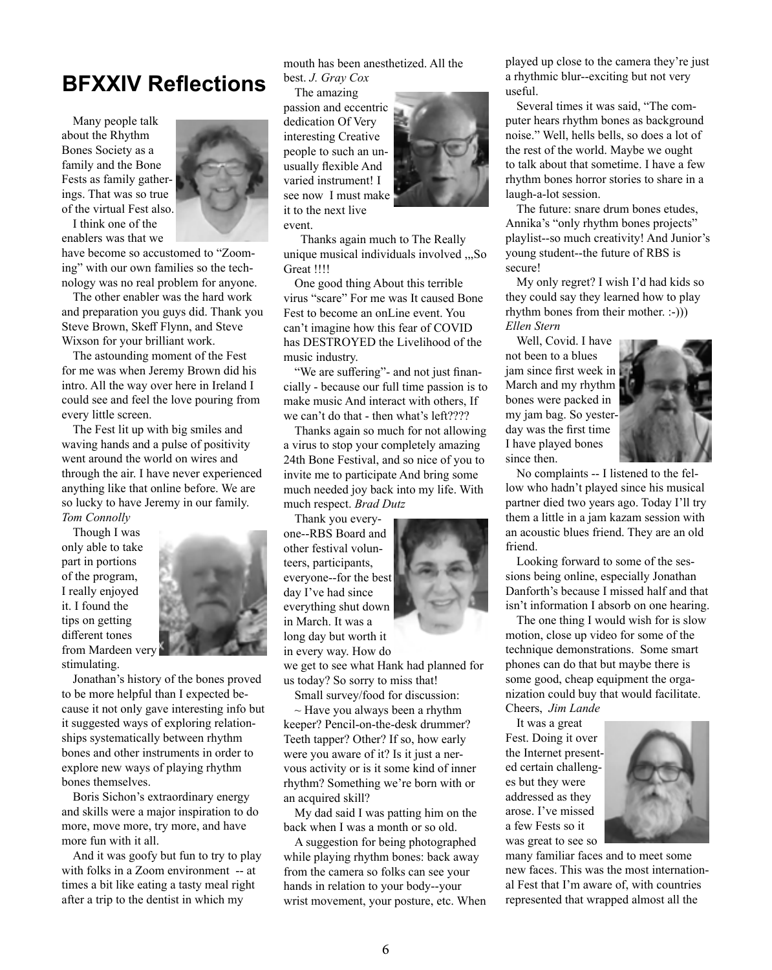## **BFXXIV Reflections**

Many people talk about the Rhythm Bones Society as a family and the Bone Fests as family gatherings. That was so true of the virtual Fest also.



I think one of the enablers was that we

have become so accustomed to "Zooming" with our own families so the technology was no real problem for anyone.

The other enabler was the hard work and preparation you guys did. Thank you Steve Brown, Skeff Flynn, and Steve Wixson for your brilliant work.

The astounding moment of the Fest for me was when Jeremy Brown did his intro. All the way over here in Ireland I could see and feel the love pouring from every little screen.

The Fest lit up with big smiles and waving hands and a pulse of positivity went around the world on wires and through the air. I have never experienced anything like that online before. We are so lucky to have Jeremy in our family. *Tom Connolly*

Though I was only able to take part in portions of the program, I really enjoyed it. I found the tips on getting different tones from Mardeen very stimulating.



Jonathan's history of the bones proved to be more helpful than I expected because it not only gave interesting info but it suggested ways of exploring relationships systematically between rhythm bones and other instruments in order to explore new ways of playing rhythm bones themselves.

Boris Sichon's extraordinary energy and skills were a major inspiration to do more, move more, try more, and have more fun with it all.

And it was goofy but fun to try to play with folks in a Zoom environment -- at times a bit like eating a tasty meal right after a trip to the dentist in which my

mouth has been anesthetized. All the best. *J. Gray Cox*

The amazing passion and eccentric dedication Of Very interesting Creative people to such an unusually flexible And varied instrument! I see now I must make it to the next live event.



 Thanks again much to The Really unique musical individuals involved ,,,So Great !!!!

One good thing About this terrible virus "scare" For me was It caused Bone Fest to become an onLine event. You can't imagine how this fear of COVID has DESTROYED the Livelihood of the music industry.

"We are suffering"- and not just financially - because our full time passion is to make music And interact with others, If we can't do that - then what's left????

Thanks again so much for not allowing a virus to stop your completely amazing 24th Bone Festival, and so nice of you to invite me to participate And bring some much needed joy back into my life. With much respect. *Brad Dutz*

Thank you everyone--RBS Board and other festival volun-

teers, participants, everyone--for the best day I've had since everything shut down in March. It was a long day but worth it in every way. How do



we get to see what Hank had planned for us today? So sorry to miss that!

Small survey/food for discussion:

 $\sim$  Have you always been a rhythm keeper? Pencil-on-the-desk drummer? Teeth tapper? Other? If so, how early were you aware of it? Is it just a nervous activity or is it some kind of inner rhythm? Something we're born with or an acquired skill?

My dad said I was patting him on the back when I was a month or so old.

A suggestion for being photographed while playing rhythm bones: back away from the camera so folks can see your hands in relation to your body--your wrist movement, your posture, etc. When played up close to the camera they're just a rhythmic blur--exciting but not very useful.

Several times it was said, "The computer hears rhythm bones as background noise." Well, hells bells, so does a lot of the rest of the world. Maybe we ought to talk about that sometime. I have a few rhythm bones horror stories to share in a laugh-a-lot session.

The future: snare drum bones etudes, Annika's "only rhythm bones projects" playlist--so much creativity! And Junior's young student--the future of RBS is secure!

My only regret? I wish I'd had kids so they could say they learned how to play rhythm bones from their mother. :-))) *Ellen Stern*

Well, Covid. I have not been to a blues jam since first week in March and my rhythm bones were packed in my jam bag. So yesterday was the first time I have played bones since then.



No complaints -- I listened to the fellow who hadn't played since his musical partner died two years ago. Today I'll try them a little in a jam kazam session with an acoustic blues friend. They are an old friend.

Looking forward to some of the sessions being online, especially Jonathan Danforth's because I missed half and that isn't information I absorb on one hearing.

The one thing I would wish for is slow motion, close up video for some of the technique demonstrations. Some smart phones can do that but maybe there is some good, cheap equipment the organization could buy that would facilitate. Cheers, *Jim Lande*

It was a great Fest. Doing it over the Internet presented certain challenges but they were addressed as they arose. I've missed a few Fests so it was great to see so



many familiar faces and to meet some new faces. This was the most international Fest that I'm aware of, with countries represented that wrapped almost all the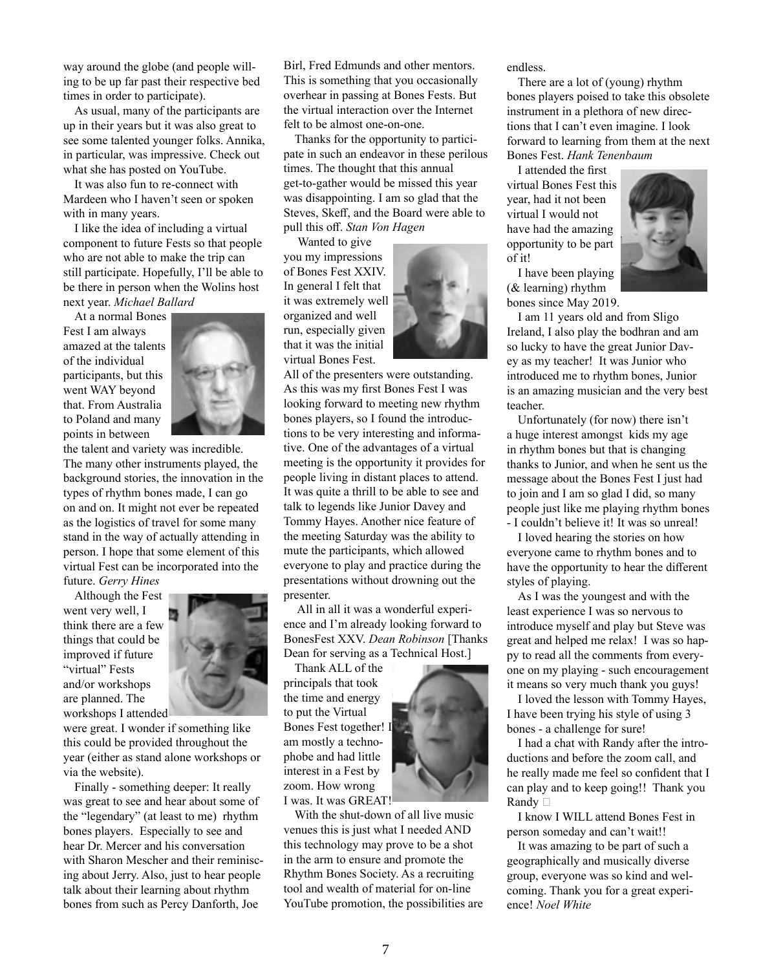way around the globe (and people willing to be up far past their respective bed times in order to participate).

As usual, many of the participants are up in their years but it was also great to see some talented younger folks. Annika, in particular, was impressive. Check out what she has posted on YouTube.

It was also fun to re-connect with Mardeen who I haven't seen or spoken with in many years.

I like the idea of including a virtual component to future Fests so that people who are not able to make the trip can still participate. Hopefully, I'll be able to be there in person when the Wolins host next year. *Michael Ballard* 

At a normal Bones Fest I am always amazed at the talents of the individual participants, but this went WAY beyond that. From Australia to Poland and many points in between



the talent and variety was incredible. The many other instruments played, the background stories, the innovation in the types of rhythm bones made, I can go on and on. It might not ever be repeated as the logistics of travel for some many stand in the way of actually attending in person. I hope that some element of this virtual Fest can be incorporated into the future. *Gerry Hines*

Although the Fest

went very well, I think there are a few things that could be improved if future "virtual" Fests and/or workshops are planned. The workshops I attended



were great. I wonder if something like this could be provided throughout the year (either as stand alone workshops or via the website).

Finally - something deeper: It really was great to see and hear about some of the "legendary" (at least to me) rhythm bones players. Especially to see and hear Dr. Mercer and his conversation with Sharon Mescher and their reminiscing about Jerry. Also, just to hear people talk about their learning about rhythm bones from such as Percy Danforth, Joe

Birl, Fred Edmunds and other mentors. This is something that you occasionally overhear in passing at Bones Fests. But the virtual interaction over the Internet felt to be almost one-on-one.

Thanks for the opportunity to participate in such an endeavor in these perilous times. The thought that this annual get-to-gather would be missed this year was disappointing. I am so glad that the Steves, Skeff, and the Board were able to pull this off. *Stan Von Hagen*

Wanted to give you my impressions of Bones Fest XXIV. In general I felt that it was extremely well organized and well run, especially given that it was the initial virtual Bones Fest.



All of the presenters were outstanding. As this was my first Bones Fest I was looking forward to meeting new rhythm bones players, so I found the introductions to be very interesting and informative. One of the advantages of a virtual meeting is the opportunity it provides for people living in distant places to attend. It was quite a thrill to be able to see and talk to legends like Junior Davey and Tommy Hayes. Another nice feature of the meeting Saturday was the ability to mute the participants, which allowed everyone to play and practice during the presentations without drowning out the presenter.

 All in all it was a wonderful experience and I'm already looking forward to BonesFest XXV. *Dean Robinson* [Thanks Dean for serving as a Technical Host.]

Thank ALL of the principals that took the time and energy to put the Virtual Bones Fest together! I am mostly a technophobe and had little interest in a Fest by zoom. How wrong I was. It was GREAT!

With the shut-down of all live music venues this is just what I needed AND this technology may prove to be a shot in the arm to ensure and promote the Rhythm Bones Society. As a recruiting tool and wealth of material for on-line YouTube promotion, the possibilities are endless.

There are a lot of (young) rhythm bones players poised to take this obsolete instrument in a plethora of new directions that I can't even imagine. I look forward to learning from them at the next Bones Fest. *Hank Tenenbaum*

I attended the first virtual Bones Fest this year, had it not been virtual I would not have had the amazing opportunity to be part of it!

I have been playing (& learning) rhythm bones since May 2019.

I am 11 years old and from Sligo Ireland, I also play the bodhran and am so lucky to have the great Junior Davey as my teacher! It was Junior who introduced me to rhythm bones, Junior is an amazing musician and the very best teacher.

Unfortunately (for now) there isn't a huge interest amongst kids my age in rhythm bones but that is changing thanks to Junior, and when he sent us the message about the Bones Fest I just had to join and I am so glad I did, so many people just like me playing rhythm bones - I couldn't believe it! It was so unreal!

I loved hearing the stories on how everyone came to rhythm bones and to have the opportunity to hear the different styles of playing.

As I was the youngest and with the least experience I was so nervous to introduce myself and play but Steve was great and helped me relax! I was so happy to read all the comments from everyone on my playing - such encouragement it means so very much thank you guys!

I loved the lesson with Tommy Hayes, I have been trying his style of using 3 bones - a challenge for sure!

I had a chat with Randy after the introductions and before the zoom call, and he really made me feel so confident that I can play and to keep going!! Thank you Randy □

I know I WILL attend Bones Fest in person someday and can't wait!!

It was amazing to be part of such a geographically and musically diverse group, everyone was so kind and welcoming. Thank you for a great experience! *Noel White*